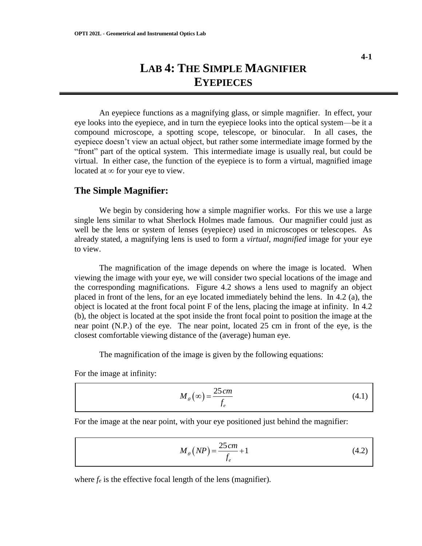An eyepiece functions as a magnifying glass, or simple magnifier. In effect, your eye looks into the eyepiece, and in turn the eyepiece looks into the optical system—be it a compound microscope, a spotting scope, telescope, or binocular. In all cases, the eyepiece doesn't view an actual object, but rather some intermediate image formed by the "front" part of the optical system. This intermediate image is usually real, but could be virtual. In either case, the function of the eyepiece is to form a virtual, magnified image located at  $\infty$  for your eye to view.

# **The Simple Magnifier:**

We begin by considering how a simple magnifier works. For this we use a large single lens similar to what Sherlock Holmes made famous. Our magnifier could just as well be the lens or system of lenses (eyepiece) used in microscopes or telescopes. As already stated, a magnifying lens is used to form a *virtual, magnified* image for your eye to view.

The magnification of the image depends on where the image is located. When viewing the image with your eye, we will consider two special locations of the image and the corresponding magnifications. Figure 4.2 shows a lens used to magnify an object placed in front of the lens, for an eye located immediately behind the lens. In 4.2 (a), the object is located at the front focal point F of the lens, placing the image at infinity. In 4.2 (b), the object is located at the spot inside the front focal point to position the image at the near point (N.P.) of the eye. The near point, located 25 cm in front of the eye, is the closest comfortable viewing distance of the (average) human eye.

The magnification of the image is given by the following equations:

For the image at infinity:

$$
M_{\theta}(\infty) = \frac{25 \, cm}{f_e} \tag{4.1}
$$

For the image at the near point, with your eye positioned just behind the magnifier:

$$
M_{\theta}\left(NP\right) = \frac{25\,cm}{f_e} + 1\tag{4.2}
$$

where  $f_e$  is the effective focal length of the lens (magnifier).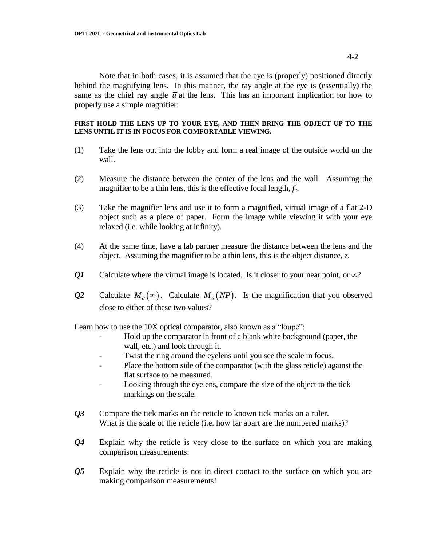Note that in both cases, it is assumed that the eye is (properly) positioned directly behind the magnifying lens. In this manner, the ray angle at the eye is (essentially) the same as the chief ray angle  $\bar{u}$  at the lens. This has an important implication for how to properly use a simple magnifier:

### **FIRST HOLD THE LENS UP TO YOUR EYE, AND THEN BRING THE OBJECT UP TO THE LENS UNTIL IT IS IN FOCUS FOR COMFORTABLE VIEWING.**

- (1) Take the lens out into the lobby and form a real image of the outside world on the wall.
- (2) Measure the distance between the center of the lens and the wall. Assuming the magnifier to be a thin lens, this is the effective focal length, *fe*.
- (3) Take the magnifier lens and use it to form a magnified, virtual image of a flat 2-D object such as a piece of paper. Form the image while viewing it with your eye relaxed (i.e. while looking at infinity).
- (4) At the same time, have a lab partner measure the distance between the lens and the object. Assuming the magnifier to be a thin lens, this is the object distance, *z*.
- *Q1* Calculate where the virtual image is located. Is it closer to your near point, or  $\infty$ ?
- *Q2* Calculate  $M_{\theta}(\infty)$ . Calculate  $M_{\theta}(NP)$ . Is the magnification that you observed close to either of these two values?

Learn how to use the 10X optical comparator, also known as a "loupe":

- Hold up the comparator in front of a blank white background (paper, the wall, etc.) and look through it.
- Twist the ring around the eyelens until you see the scale in focus.
- Place the bottom side of the comparator (with the glass reticle) against the flat surface to be measured.
- Looking through the eyelens, compare the size of the object to the tick markings on the scale.
- *Q3* Compare the tick marks on the reticle to known tick marks on a ruler. What is the scale of the reticle (i.e. how far apart are the numbered marks)?
- *Q4* Explain why the reticle is very close to the surface on which you are making comparison measurements.
- *Q5* Explain why the reticle is not in direct contact to the surface on which you are making comparison measurements!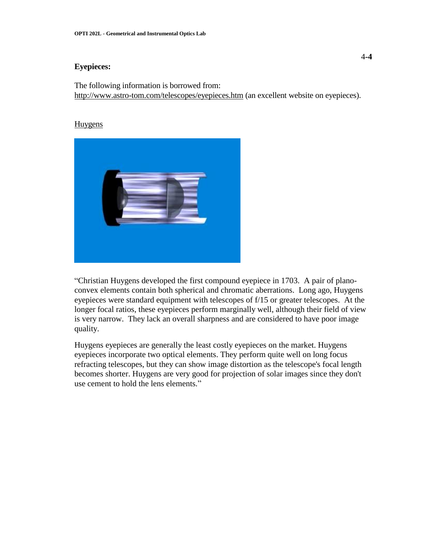### **Eyepieces:**

The following information is borrowed from: http://www.astro-tom.com/telescopes/eyepieces.htm (an excellent website on eyepieces).

#### **Huygens**



"Christian Huygens developed the first compound eyepiece in 1703. A pair of planoconvex elements contain both spherical and chromatic aberrations. Long ago, Huygens eyepieces were standard equipment with telescopes of f/15 or greater telescopes. At the longer focal ratios, these eyepieces perform marginally well, although their field of view is very narrow. They lack an overall sharpness and are considered to have poor image quality.

Huygens eyepieces are generally the least costly eyepieces on the market. Huygens eyepieces incorporate two optical elements. They perform quite well on long focus refracting telescopes, but they can show image distortion as the telescope's focal length becomes shorter. Huygens are very good for projection of solar images since they don't use cement to hold the lens elements."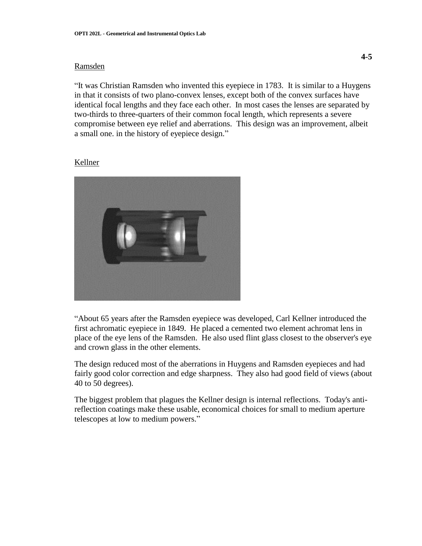### Ramsden

"It was Christian Ramsden who invented this eyepiece in 1783. It is similar to a Huygens in that it consists of two plano-convex lenses, except both of the convex surfaces have identical focal lengths and they face each other. In most cases the lenses are separated by two-thirds to three-quarters of their common focal length, which represents a severe compromise between eye relief and aberrations. This design was an improvement, albeit a small one. in the history of eyepiece design."

#### Kellner



"About 65 years after the Ramsden eyepiece was developed, Carl Kellner introduced the first achromatic eyepiece in 1849. He placed a cemented two element achromat lens in place of the eye lens of the Ramsden. He also used flint glass closest to the observer's eye and crown glass in the other elements.

The design reduced most of the aberrations in Huygens and Ramsden eyepieces and had fairly good color correction and edge sharpness. They also had good field of views (about 40 to 50 degrees).

The biggest problem that plagues the Kellner design is internal reflections. Today's antireflection coatings make these usable, economical choices for small to medium aperture telescopes at low to medium powers."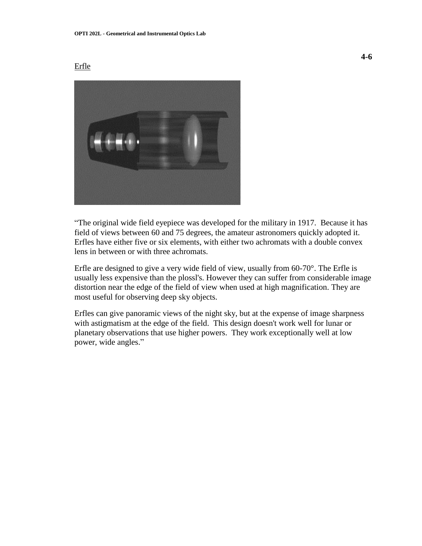## Erfle



"The original wide field eyepiece was developed for the military in 1917. Because it has field of views between 60 and 75 degrees, the amateur astronomers quickly adopted it. Erfles have either five or six elements, with either two achromats with a double convex lens in between or with three achromats.

Erfle are designed to give a very wide field of view, usually from 60-70°. The Erfle is usually less expensive than the plossl's. However they can suffer from considerable image distortion near the edge of the field of view when used at high magnification. They are most useful for observing deep sky objects.

Erfles can give panoramic views of the night sky, but at the expense of image sharpness with astigmatism at the edge of the field. This design doesn't work well for lunar or planetary observations that use higher powers. They work exceptionally well at low power, wide angles."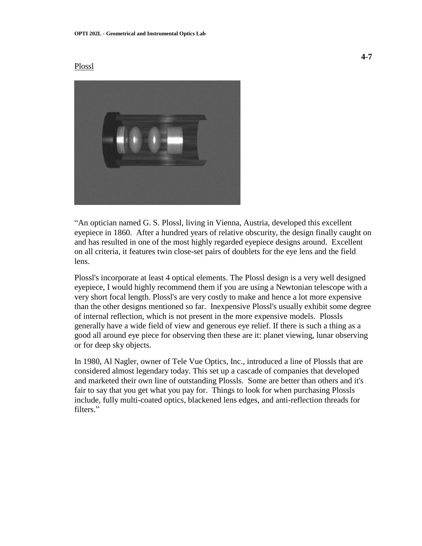#### Plossl



"An optician named G. S. Plossl, living in Vienna, Austria, developed this excellent eyepiece in 1860. After a hundred years of relative obscurity, the design finally caught on and has resulted in one of the most highly regarded eyepiece designs around. Excellent on all criteria, it features twin close-set pairs of doublets for the eye lens and the field lens.

Plossl's incorporate at least 4 optical elements. The Plossl design is a very well designed eyepiece, I would highly recommend them if you are using a Newtonian telescope with a very short focal length. Plossl's are very costly to make and hence a lot more expensive than the other designs mentioned so far. Inexpensive Plossl's usually exhibit some degree of internal reflection, which is not present in the more expensive models. Plossls generally have a wide field of view and generous eye relief. If there is such a thing as a good all around eye piece for observing then these are it: planet viewing, lunar observing or for deep sky objects.

In 1980, Al Nagler, owner of Tele Vue Optics, Inc., introduced a line of Plossls that are considered almost legendary today. This set up a cascade of companies that developed and marketed their own line of outstanding Plossls. Some are better than others and it's fair to say that you get what you pay for. Things to look for when purchasing Plossls include, fully multi-coated optics, blackened lens edges, and anti-reflection threads for filters."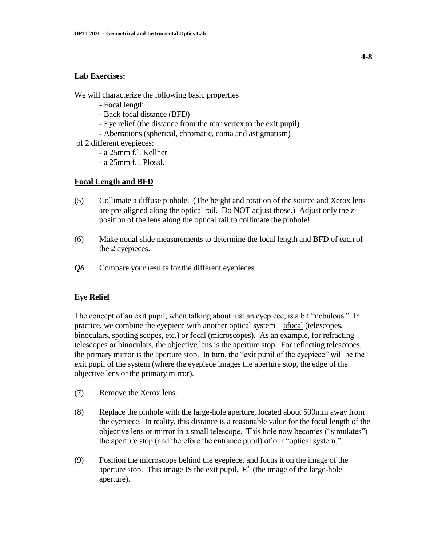## **Lab Exercises:**

We will characterize the following basic properties

- Focal length
- Back focal distance (BFD)
- Eye relief (the distance from the rear vertex to the exit pupil)
- Aberrations (spherical, chromatic, coma and astigmatism)
- of 2 different eyepieces:
	- a 25mm f.l. Kellner
	- a 25mm f.l. Plossl.

# **Focal Length and BFD**

- (5) Collimate a diffuse pinhole. (The height and rotation of the source and Xerox lens are pre-aligned along the optical rail. Do NOT adjust those.) Adjust only the zposition of the lens along the optical rail to collimate the pinhole!
- (6) Make nodal slide measurements to determine the focal length and BFD of each of the 2 eyepieces.
- *Q6* Compare your results for the different eyepieces.

# **Eye Relief**

The concept of an exit pupil, when talking about just an eyepiece, is a bit "nebulous." In practice, we combine the eyepiece with another optical system—afocal (telescopes, binoculars, spotting scopes, etc.) or focal (microscopes). As an example, for refracting telescopes or binoculars, the objective lens is the aperture stop. For reflecting telescopes, the primary mirror is the aperture stop. In turn, the "exit pupil of the eyepiece" will be the exit pupil of the system (where the eyepiece images the aperture stop, the edge of the objective lens or the primary mirror).

- (7) Remove the Xerox lens.
- (8) Replace the pinhole with the large-hole aperture, located about 500mm away from the eyepiece. In reality, this distance is a reasonable value for the focal length of the objective lens or mirror in a small telescope. This hole now becomes ("simulates") the aperture stop (and therefore the entrance pupil) of our "optical system."
- (9) Position the microscope behind the eyepiece, and focus it on the image of the aperture stop. This image IS the exit pupil,  $E'$  (the image of the large-hole aperture).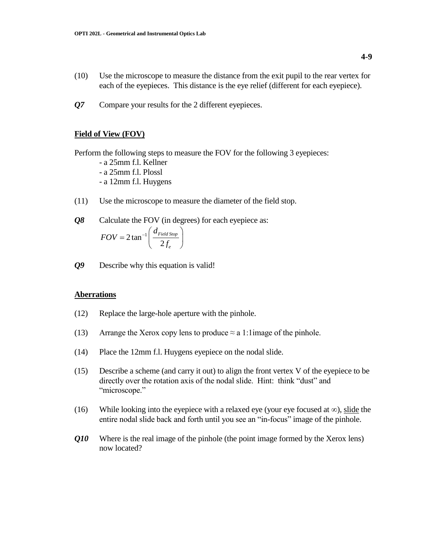- (10) Use the microscope to measure the distance from the exit pupil to the rear vertex for each of the eyepieces. This distance is the eye relief (different for each eyepiece).
- *Q7* Compare your results for the 2 different eyepieces.

## **Field of View (FOV)**

Perform the following steps to measure the FOV for the following 3 eyepieces:

- a 25mm f.l. Kellner
- a 25mm f.l. Plossl
- a 12mm f.l. Huygens
- (11) Use the microscope to measure the diameter of the field stop.

*Q8* Calculate the FOV (in degrees) for each eyepiece as:

$$
FOV = 2 \tan^{-1} \left( \frac{d_{Field \, Stop}}{2 f_e} \right)
$$

*Q9* Describe why this equation is valid!

#### **Aberrations**

- (12) Replace the large-hole aperture with the pinhole.
- (13) Arrange the Xerox copy lens to produce  $\approx$  a 1:1image of the pinhole.
- (14) Place the 12mm f.l. Huygens eyepiece on the nodal slide.
- (15) Describe a scheme (and carry it out) to align the front vertex V of the eyepiece to be directly over the rotation axis of the nodal slide. Hint: think "dust" and "microscope."
- (16) While looking into the eyepiece with a relaxed eye (your eye focused at  $\infty$ ), slide the entire nodal slide back and forth until you see an "in-focus" image of the pinhole.
- *Q10* Where is the real image of the pinhole (the point image formed by the Xerox lens) now located?